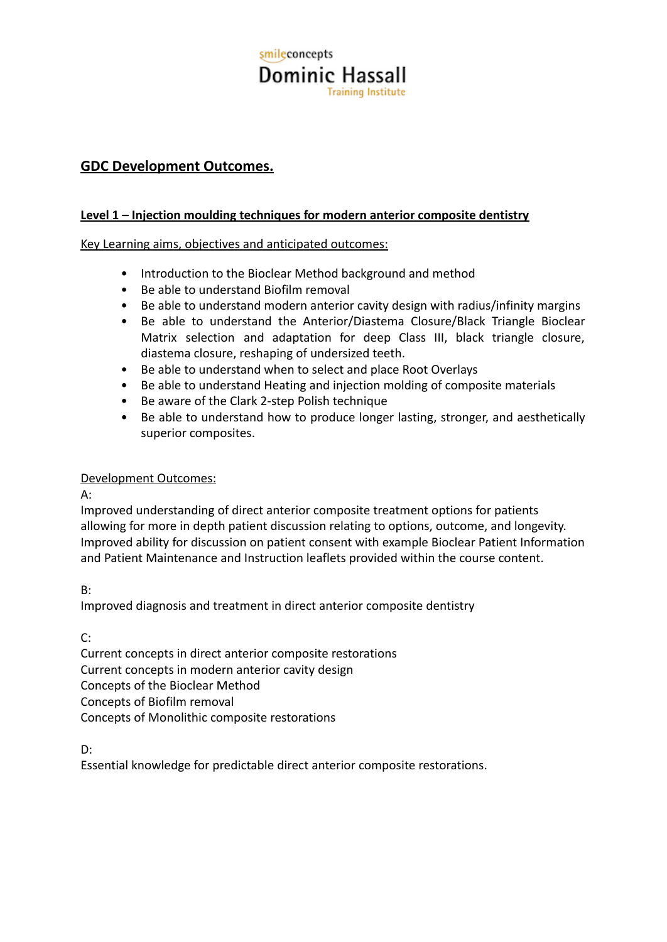# smileconcepts **Dominic Hassall Training Institute**

## **GDC Development Outcomes.**

### **Level 1 – Injection moulding techniques for modern anterior composite dentistry**

Key Learning aims, objectives and anticipated outcomes:

- Introduction to the Bioclear Method background and method
- Be able to understand Biofilm removal
- Be able to understand modern anterior cavity design with radius/infinity margins
- Be able to understand the Anterior/Diastema Closure/Black Triangle Bioclear Matrix selection and adaptation for deep Class III, black triangle closure, diastema closure, reshaping of undersized teeth.
- Be able to understand when to select and place Root Overlays
- Be able to understand Heating and injection molding of composite materials
- Be aware of the Clark 2-step Polish technique
- Be able to understand how to produce longer lasting, stronger, and aesthetically superior composites.

#### Development Outcomes:

A:

Improved understanding of direct anterior composite treatment options for patients allowing for more in depth patient discussion relating to options, outcome, and longevity. Improved ability for discussion on patient consent with example Bioclear Patient Information and Patient Maintenance and Instruction leaflets provided within the course content.

#### B:

Improved diagnosis and treatment in direct anterior composite dentistry

C:

Current concepts in direct anterior composite restorations Current concepts in modern anterior cavity design Concepts of the Bioclear Method Concepts of Biofilm removal Concepts of Monolithic composite restorations

D:

Essential knowledge for predictable direct anterior composite restorations.